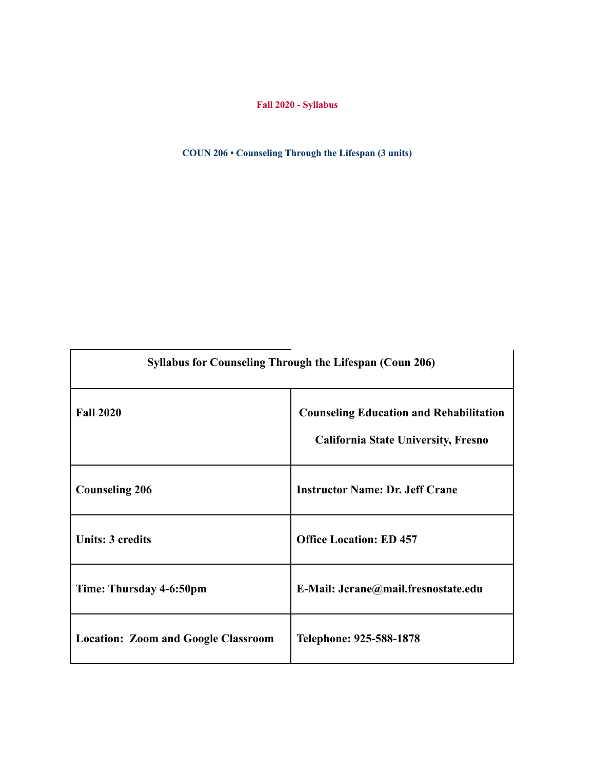**Fall 2020 - Syllabus**

**COUN 206 • Counseling Through the Lifespan (3 units)**

| <b>Syllabus for Counseling Through the Lifespan (Coun 206)</b> |                                                                                              |  |
|----------------------------------------------------------------|----------------------------------------------------------------------------------------------|--|
| <b>Fall 2020</b>                                               | <b>Counseling Education and Rehabilitation</b><br><b>California State University, Fresno</b> |  |
| <b>Counseling 206</b>                                          | <b>Instructor Name: Dr. Jeff Crane</b>                                                       |  |
| <b>Units: 3 credits</b>                                        | <b>Office Location: ED 457</b>                                                               |  |
| Time: Thursday 4-6:50pm                                        | E-Mail: Jcrane@mail.fresnostate.edu                                                          |  |
| <b>Location: Zoom and Google Classroom</b>                     | Telephone: 925-588-1878                                                                      |  |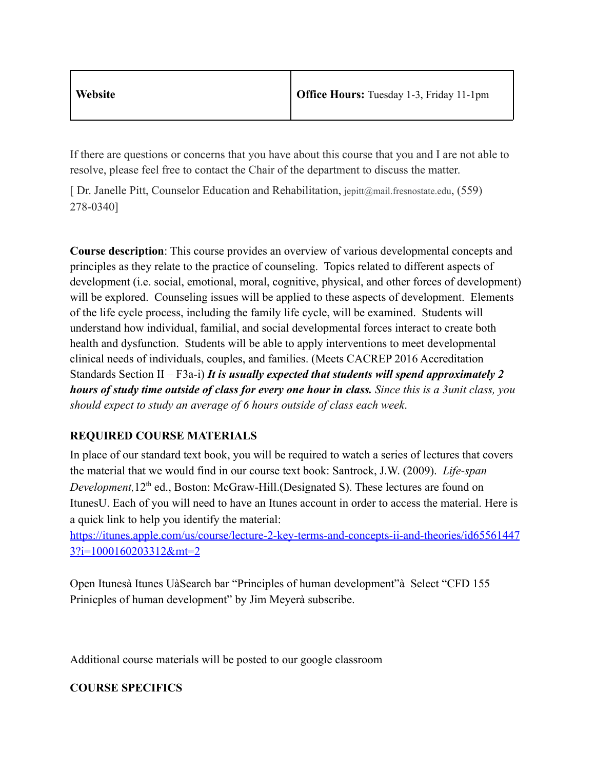| <b>Website</b> | Office Hours: Tuesday 1-3, Friday 11-1pm |
|----------------|------------------------------------------|
|                |                                          |

If there are questions or concerns that you have about this course that you and I are not able to resolve, please feel free to contact the Chair of the department to discuss the matter.

[ Dr. Janelle Pitt, Counselor Education and Rehabilitation, jepitt@mail.fresnostate.edu, (559) 278-0340]

**Course description**: This course provides an overview of various developmental concepts and principles as they relate to the practice of counseling. Topics related to different aspects of development (i.e. social, emotional, moral, cognitive, physical, and other forces of development) will be explored. Counseling issues will be applied to these aspects of development. Elements of the life cycle process, including the family life cycle, will be examined. Students will understand how individual, familial, and social developmental forces interact to create both health and dysfunction. Students will be able to apply interventions to meet developmental clinical needs of individuals, couples, and families. (Meets CACREP 2016 Accreditation Standards Section II – F3a-i) *It is usually expected that students will spend approximately 2 hours of study time outside of class for every one hour in class. Since this is a 3unit class, you should expect to study an average of 6 hours outside of class each week*.

## **REQUIRED COURSE MATERIALS**

In place of our standard text book, you will be required to watch a series of lectures that covers the material that we would find in our course text book: Santrock, J.W. (2009). *Life-span Development*, 12<sup>th</sup> ed., Boston: McGraw-Hill.(Designated S). These lectures are found on ItunesU. Each of you will need to have an Itunes account in order to access the material. Here is a quick link to help you identify the material[:](https://itunes.apple.com/us/course/lecture-2-key-terms-and-concepts-ii-and-theories/id655614473?i=1000160203312&mt=2)

[https://itunes.apple.com/us/course/lecture-2-key-terms-and-concepts-ii-and-theories/id65561447](https://itunes.apple.com/us/course/lecture-2-key-terms-and-concepts-ii-and-theories/id655614473?i=1000160203312&mt=2) [3?i=1000160203312&mt=2](https://itunes.apple.com/us/course/lecture-2-key-terms-and-concepts-ii-and-theories/id655614473?i=1000160203312&mt=2)

Open Itunesà Itunes UàSearch bar "Principles of human development"à Select "CFD 155 Prinicples of human development" by Jim Meyerà subscribe.

Additional course materials will be posted to our google classroom

## **COURSE SPECIFICS**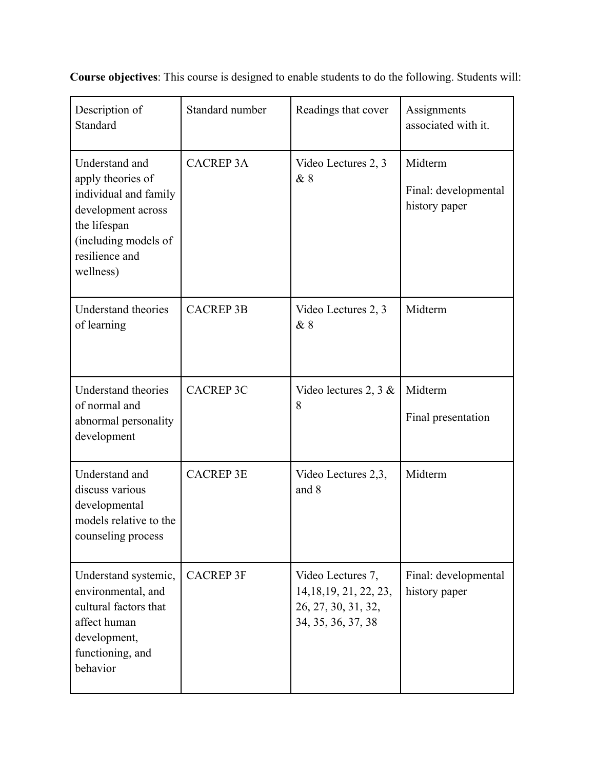| Description of<br>Standard                                                                                                                                | Standard number  | Readings that cover                                                                       | Assignments<br>associated with it.               |
|-----------------------------------------------------------------------------------------------------------------------------------------------------------|------------------|-------------------------------------------------------------------------------------------|--------------------------------------------------|
| Understand and<br>apply theories of<br>individual and family<br>development across<br>the lifespan<br>(including models of<br>resilience and<br>wellness) | <b>CACREP 3A</b> | Video Lectures 2, 3<br>&8                                                                 | Midterm<br>Final: developmental<br>history paper |
| <b>Understand theories</b><br>of learning                                                                                                                 | <b>CACREP 3B</b> | Video Lectures 2, 3<br>&8                                                                 | Midterm                                          |
| Understand theories<br>of normal and<br>abnormal personality<br>development                                                                               | <b>CACREP 3C</b> | Video lectures 2, 3 $\&$<br>8                                                             | Midterm<br>Final presentation                    |
| Understand and<br>discuss various<br>developmental<br>models relative to the<br>counseling process                                                        | <b>CACREP 3E</b> | Video Lectures 2,3,<br>and 8                                                              | Midterm                                          |
| Understand systemic,<br>environmental, and<br>cultural factors that<br>affect human<br>development,<br>functioning, and<br>behavior                       | <b>CACREP 3F</b> | Video Lectures 7,<br>14, 18, 19, 21, 22, 23,<br>26, 27, 30, 31, 32,<br>34, 35, 36, 37, 38 | Final: developmental<br>history paper            |

**Course objectives**: This course is designed to enable students to do the following. Students will: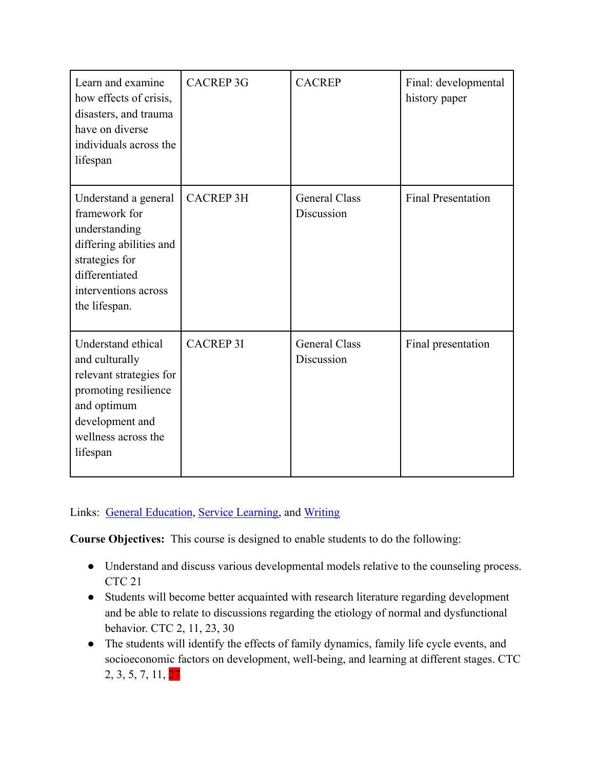| Learn and examine<br>how effects of crisis,<br>disasters, and trauma<br>have on diverse<br>individuals across the<br>lifespan                                  | <b>CACREP 3G</b> | <b>CACREP</b>                      | Final: developmental<br>history paper |
|----------------------------------------------------------------------------------------------------------------------------------------------------------------|------------------|------------------------------------|---------------------------------------|
| Understand a general<br>framework for<br>understanding<br>differing abilities and<br>strategies for<br>differentiated<br>interventions across<br>the lifespan. | <b>CACREP 3H</b> | <b>General Class</b><br>Discussion | <b>Final Presentation</b>             |
| Understand ethical<br>and culturally<br>relevant strategies for<br>promoting resilience<br>and optimum<br>development and<br>wellness across the<br>lifespan   | <b>CACREP 3I</b> | <b>General Class</b><br>Discussion | Final presentation                    |

## Links: [General Education](http://www.fresnostate.edu/academics/curriculum/general-education/ge-syllabi.html), [Service Learning,](http://fresnostate.edu/academics/cesl/facultysl/three/syllabi.html) and [Writing](http://fresnostate.edu/academics/wac/syllabus-review/guidelines-expectations.html)

**Course Objectives:** This course is designed to enable students to do the following:

- Understand and discuss various developmental models relative to the counseling process. CTC 21
- Students will become better acquainted with research literature regarding development and be able to relate to discussions regarding the etiology of normal and dysfunctional behavior. CTC 2, 11, 23, 30
- The students will identify the effects of family dynamics, family life cycle events, and socioeconomic factors on development, well-being, and learning at different stages. CTC 2, 3, 5, 7, 11, 27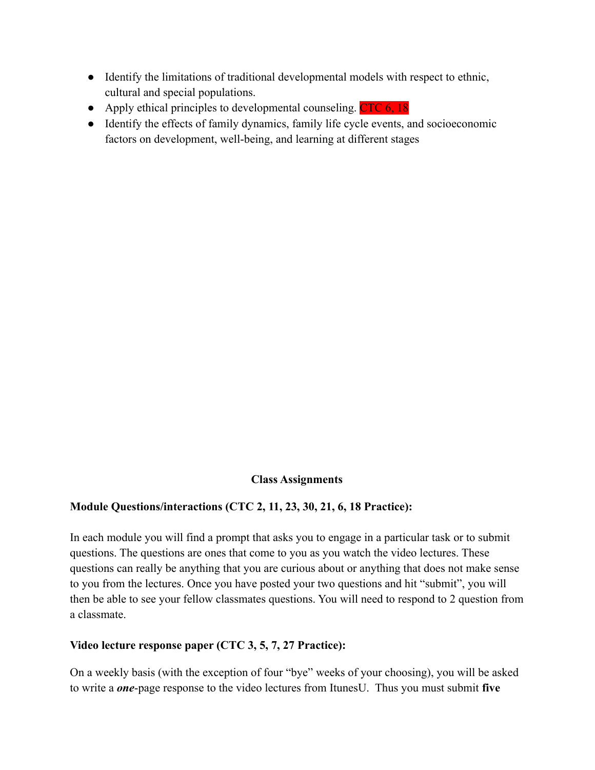- Identify the limitations of traditional developmental models with respect to ethnic, cultural and special populations.
- Apply ethical principles to developmental counseling.  $CTC_6$ , 18
- Identify the effects of family dynamics, family life cycle events, and socioeconomic factors on development, well-being, and learning at different stages

#### **Class Assignments**

#### **Module Questions/interactions (CTC 2, 11, 23, 30, 21, 6, 18 Practice):**

In each module you will find a prompt that asks you to engage in a particular task or to submit questions. The questions are ones that come to you as you watch the video lectures. These questions can really be anything that you are curious about or anything that does not make sense to you from the lectures. Once you have posted your two questions and hit "submit", you will then be able to see your fellow classmates questions. You will need to respond to 2 question from a classmate.

#### **Video lecture response paper (CTC 3, 5, 7, 27 Practice):**

On a weekly basis (with the exception of four "bye" weeks of your choosing), you will be asked to write a *one*-page response to the video lectures from ItunesU. Thus you must submit **five**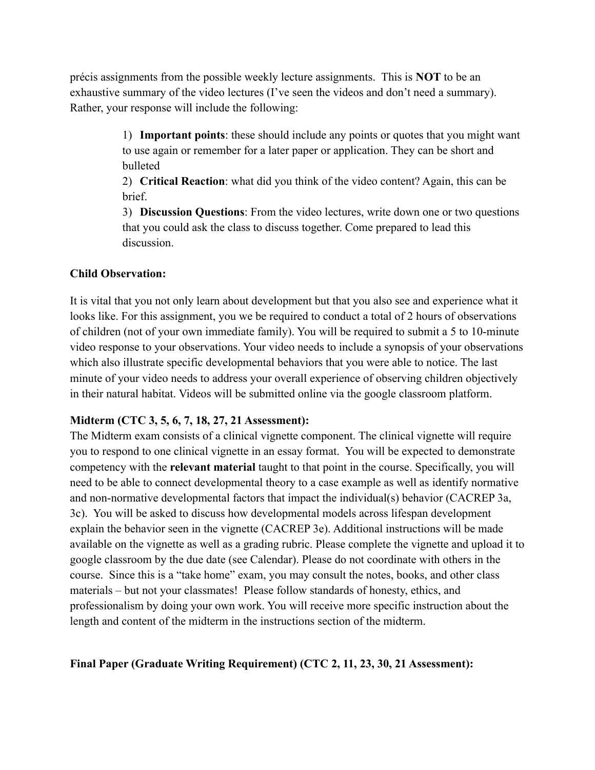précis assignments from the possible weekly lecture assignments. This is **NOT** to be an exhaustive summary of the video lectures (I've seen the videos and don't need a summary). Rather, your response will include the following:

> 1) **Important points**: these should include any points or quotes that you might want to use again or remember for a later paper or application. They can be short and bulleted

2) **Critical Reaction**: what did you think of the video content? Again, this can be brief.

3) **Discussion Questions**: From the video lectures, write down one or two questions that you could ask the class to discuss together. Come prepared to lead this discussion.

### **Child Observation:**

It is vital that you not only learn about development but that you also see and experience what it looks like. For this assignment, you we be required to conduct a total of 2 hours of observations of children (not of your own immediate family). You will be required to submit a 5 to 10-minute video response to your observations. Your video needs to include a synopsis of your observations which also illustrate specific developmental behaviors that you were able to notice. The last minute of your video needs to address your overall experience of observing children objectively in their natural habitat. Videos will be submitted online via the google classroom platform.

## **Midterm (CTC 3, 5, 6, 7, 18, 27, 21 Assessment):**

The Midterm exam consists of a clinical vignette component. The clinical vignette will require you to respond to one clinical vignette in an essay format. You will be expected to demonstrate competency with the **relevant material** taught to that point in the course. Specifically, you will need to be able to connect developmental theory to a case example as well as identify normative and non-normative developmental factors that impact the individual(s) behavior (CACREP 3a, 3c). You will be asked to discuss how developmental models across lifespan development explain the behavior seen in the vignette (CACREP 3e). Additional instructions will be made available on the vignette as well as a grading rubric. Please complete the vignette and upload it to google classroom by the due date (see Calendar). Please do not coordinate with others in the course. Since this is a "take home" exam, you may consult the notes, books, and other class materials – but not your classmates! Please follow standards of honesty, ethics, and professionalism by doing your own work. You will receive more specific instruction about the length and content of the midterm in the instructions section of the midterm.

## **Final Paper (Graduate Writing Requirement) (CTC 2, 11, 23, 30, 21 Assessment):**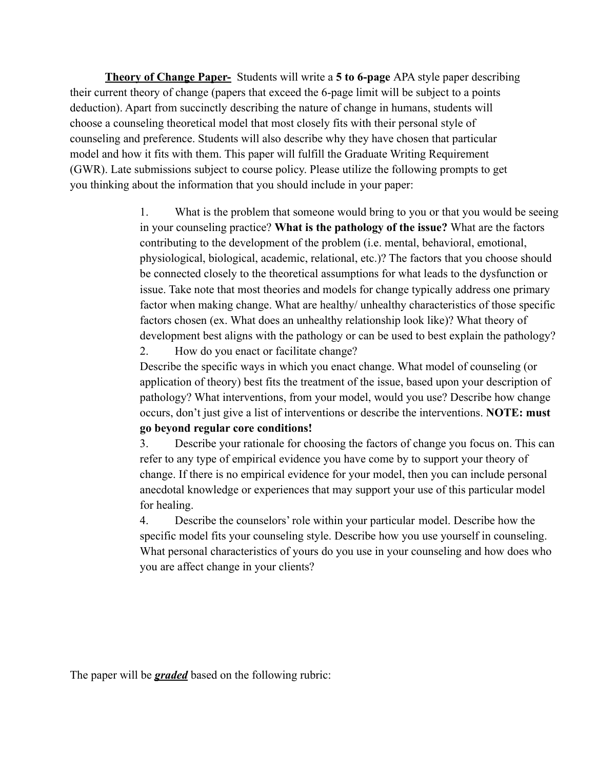**Theory of Change Paper-** Students will write a **5 to 6-page** APA style paper describing their current theory of change (papers that exceed the 6-page limit will be subject to a points deduction). Apart from succinctly describing the nature of change in humans, students will choose a counseling theoretical model that most closely fits with their personal style of counseling and preference. Students will also describe why they have chosen that particular model and how it fits with them. This paper will fulfill the Graduate Writing Requirement (GWR). Late submissions subject to course policy. Please utilize the following prompts to get you thinking about the information that you should include in your paper:

> 1. What is the problem that someone would bring to you or that you would be seeing in your counseling practice? **What is the pathology of the issue?** What are the factors contributing to the development of the problem (i.e. mental, behavioral, emotional, physiological, biological, academic, relational, etc.)? The factors that you choose should be connected closely to the theoretical assumptions for what leads to the dysfunction or issue. Take note that most theories and models for change typically address one primary factor when making change. What are healthy/ unhealthy characteristics of those specific factors chosen (ex. What does an unhealthy relationship look like)? What theory of development best aligns with the pathology or can be used to best explain the pathology? 2. How do you enact or facilitate change?

Describe the specific ways in which you enact change. What model of counseling (or application of theory) best fits the treatment of the issue, based upon your description of pathology? What interventions, from your model, would you use? Describe how change occurs, don't just give a list of interventions or describe the interventions. **NOTE: must go beyond regular core conditions!**

3. Describe your rationale for choosing the factors of change you focus on. This can refer to any type of empirical evidence you have come by to support your theory of change. If there is no empirical evidence for your model, then you can include personal anecdotal knowledge or experiences that may support your use of this particular model for healing.

4. Describe the counselors' role within your particular model. Describe how the specific model fits your counseling style. Describe how you use yourself in counseling. What personal characteristics of yours do you use in your counseling and how does who you are affect change in your clients?

The paper will be *graded* based on the following rubric: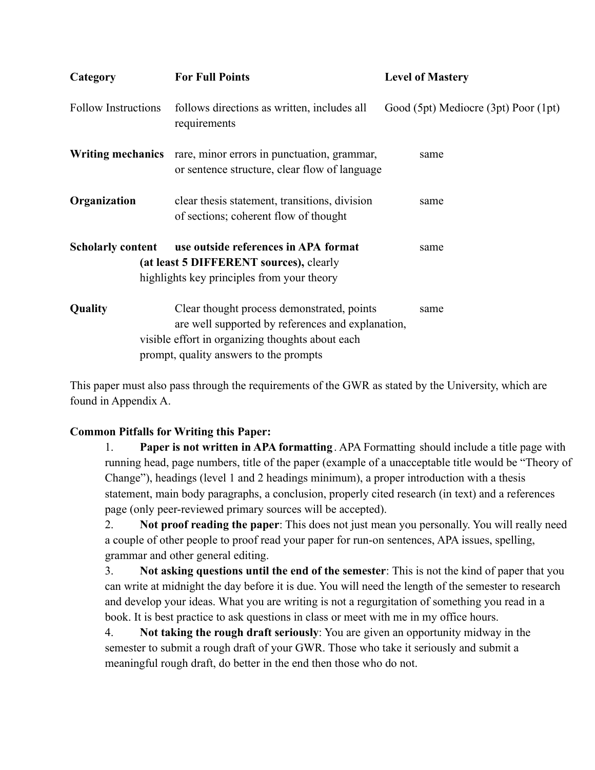| Category                   | <b>For Full Points</b>                                                                                                                                                                        | <b>Level of Mastery</b>              |
|----------------------------|-----------------------------------------------------------------------------------------------------------------------------------------------------------------------------------------------|--------------------------------------|
| <b>Follow Instructions</b> | follows directions as written, includes all<br>requirements                                                                                                                                   | Good (5pt) Mediocre (3pt) Poor (1pt) |
| <b>Writing mechanics</b>   | rare, minor errors in punctuation, grammar,<br>or sentence structure, clear flow of language                                                                                                  | same                                 |
| Organization               | clear thesis statement, transitions, division<br>of sections; coherent flow of thought                                                                                                        | same                                 |
| <b>Scholarly content</b>   | use outside references in APA format<br>(at least 5 DIFFERENT sources), clearly<br>highlights key principles from your theory                                                                 | same                                 |
| Quality                    | Clear thought process demonstrated, points<br>are well supported by references and explanation,<br>visible effort in organizing thoughts about each<br>prompt, quality answers to the prompts | same                                 |

This paper must also pass through the requirements of the GWR as stated by the University, which are found in Appendix A.

### **Common Pitfalls for Writing this Paper:**

1. **Paper is not written in APA formatting** . APA Formatting should include a title page with running head, page numbers, title of the paper (example of a unacceptable title would be "Theory of Change"), headings (level 1 and 2 headings minimum), a proper introduction with a thesis statement, main body paragraphs, a conclusion, properly cited research (in text) and a references page (only peer-reviewed primary sources will be accepted).

2. **Not proof reading the paper**: This does not just mean you personally. You will really need a couple of other people to proof read your paper for run-on sentences, APA issues, spelling, grammar and other general editing.

3. **Not asking questions until the end of the semester**: This is not the kind of paper that you can write at midnight the day before it is due. You will need the length of the semester to research and develop your ideas. What you are writing is not a regurgitation of something you read in a book. It is best practice to ask questions in class or meet with me in my office hours.

4. **Not taking the rough draft seriously**: You are given an opportunity midway in the semester to submit a rough draft of your GWR. Those who take it seriously and submit a meaningful rough draft, do better in the end then those who do not.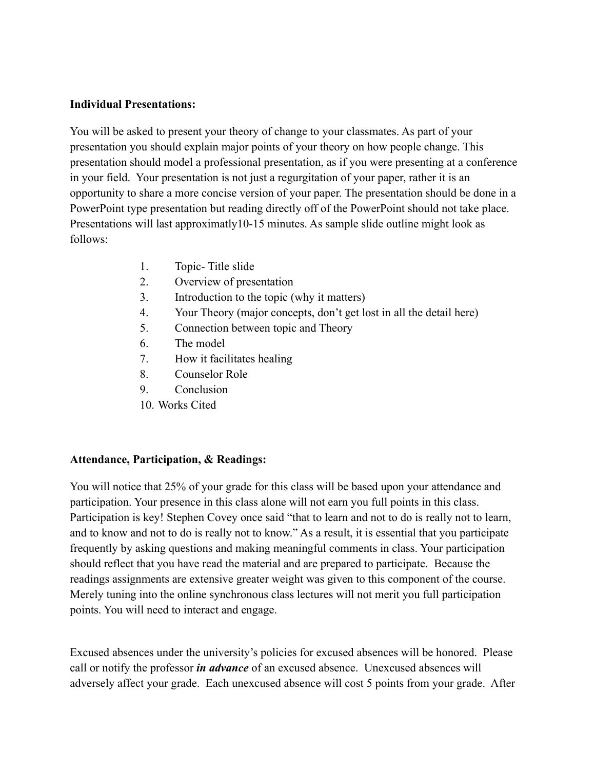#### **Individual Presentations:**

You will be asked to present your theory of change to your classmates. As part of your presentation you should explain major points of your theory on how people change. This presentation should model a professional presentation, as if you were presenting at a conference in your field. Your presentation is not just a regurgitation of your paper, rather it is an opportunity to share a more concise version of your paper. The presentation should be done in a PowerPoint type presentation but reading directly off of the PowerPoint should not take place. Presentations will last approximatly10-15 minutes. As sample slide outline might look as follows:

- 1. Topic- Title slide
- 2. Overview of presentation
- 3. Introduction to the topic (why it matters)
- 4. Your Theory (major concepts, don't get lost in all the detail here)
- 5. Connection between topic and Theory
- 6. The model
- 7. How it facilitates healing
- 8. Counselor Role
- 9. Conclusion
- 10. Works Cited

### **Attendance, Participation, & Readings:**

You will notice that 25% of your grade for this class will be based upon your attendance and participation. Your presence in this class alone will not earn you full points in this class. Participation is key! Stephen Covey once said "that to learn and not to do is really not to learn, and to know and not to do is really not to know." As a result, it is essential that you participate frequently by asking questions and making meaningful comments in class. Your participation should reflect that you have read the material and are prepared to participate. Because the readings assignments are extensive greater weight was given to this component of the course. Merely tuning into the online synchronous class lectures will not merit you full participation points. You will need to interact and engage.

Excused absences under the university's policies for excused absences will be honored. Please call or notify the professor *in advance* of an excused absence. Unexcused absences will adversely affect your grade. Each unexcused absence will cost 5 points from your grade. After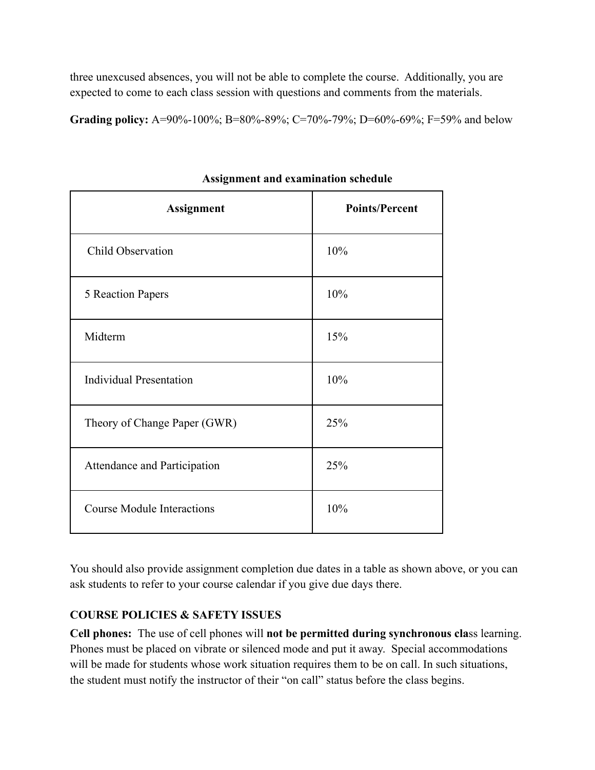three unexcused absences, you will not be able to complete the course. Additionally, you are expected to come to each class session with questions and comments from the materials.

**Grading policy:** A=90%-100%; B=80%-89%; C=70%-79%; D=60%-69%; F=59% and below

| <b>Assignment</b>                 | <b>Points/Percent</b> |
|-----------------------------------|-----------------------|
| Child Observation                 | 10%                   |
| 5 Reaction Papers                 | 10%                   |
| Midterm                           | 15%                   |
| <b>Individual Presentation</b>    | 10%                   |
| Theory of Change Paper (GWR)      | 25%                   |
| Attendance and Participation      | 25%                   |
| <b>Course Module Interactions</b> | 10%                   |

**Assignment and examination schedule**

You should also provide assignment completion due dates in a table as shown above, or you can ask students to refer to your course calendar if you give due days there.

## **COURSE POLICIES & SAFETY ISSUES**

**Cell phones:** The use of cell phones will **not be permitted during synchronous cla**ss learning. Phones must be placed on vibrate or silenced mode and put it away. Special accommodations will be made for students whose work situation requires them to be on call. In such situations, the student must notify the instructor of their "on call" status before the class begins.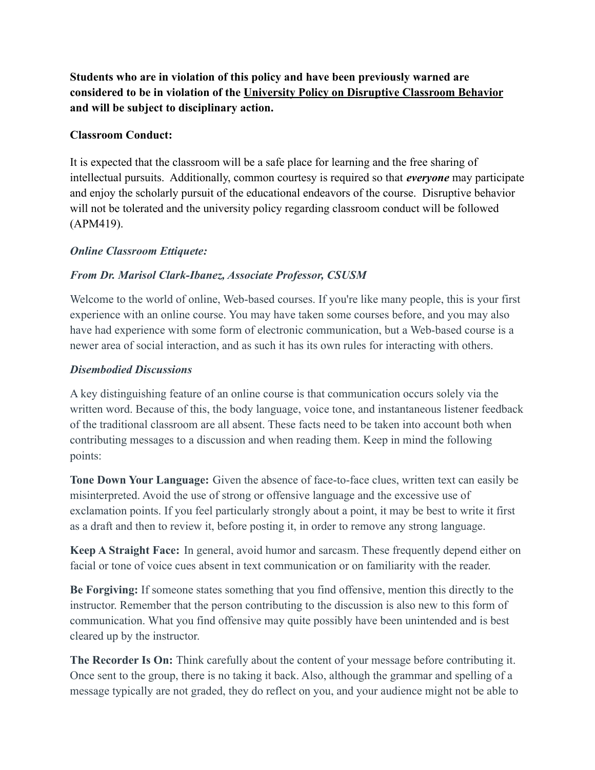**Students who are in violation of this policy and have been previously warned are considered to be in violation of the University Policy on Disruptive Classroom Behavior and will be subject to disciplinary action.**

## **Classroom Conduct:**

It is expected that the classroom will be a safe place for learning and the free sharing of intellectual pursuits. Additionally, common courtesy is required so that *everyone* may participate and enjoy the scholarly pursuit of the educational endeavors of the course. Disruptive behavior will not be tolerated and the university policy regarding classroom conduct will be followed (APM419).

### *Online Classroom Ettiquete:*

## *From Dr. Marisol Clark-Ibanez, Associate Professor, CSUSM*

Welcome to the world of online, Web-based courses. If you're like many people, this is your first experience with an online course. You may have taken some courses before, and you may also have had experience with some form of electronic communication, but a Web-based course is a newer area of social interaction, and as such it has its own rules for interacting with others.

## *Disembodied Discussions*

A key distinguishing feature of an online course is that communication occurs solely via the written word. Because of this, the body language, voice tone, and instantaneous listener feedback of the traditional classroom are all absent. These facts need to be taken into account both when contributing messages to a discussion and when reading them. Keep in mind the following points:

**Tone Down Your Language:** Given the absence of face-to-face clues, written text can easily be misinterpreted. Avoid the use of strong or offensive language and the excessive use of exclamation points. If you feel particularly strongly about a point, it may be best to write it first as a draft and then to review it, before posting it, in order to remove any strong language.

**Keep A Straight Face:** In general, avoid humor and sarcasm. These frequently depend either on facial or tone of voice cues absent in text communication or on familiarity with the reader.

**Be Forgiving:** If someone states something that you find offensive, mention this directly to the instructor. Remember that the person contributing to the discussion is also new to this form of communication. What you find offensive may quite possibly have been unintended and is best cleared up by the instructor.

**The Recorder Is On:** Think carefully about the content of your message before contributing it. Once sent to the group, there is no taking it back. Also, although the grammar and spelling of a message typically are not graded, they do reflect on you, and your audience might not be able to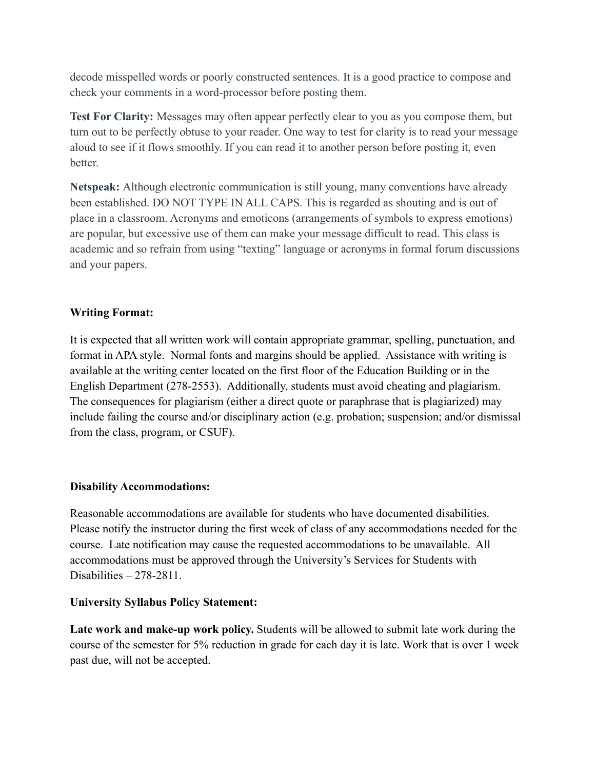decode misspelled words or poorly constructed sentences. It is a good practice to compose and check your comments in a word-processor before posting them.

**Test For Clarity:** Messages may often appear perfectly clear to you as you compose them, but turn out to be perfectly obtuse to your reader. One way to test for clarity is to read your message aloud to see if it flows smoothly. If you can read it to another person before posting it, even better.

**Netspeak:** Although electronic communication is still young, many conventions have already been established. DO NOT TYPE IN ALL CAPS. This is regarded as shouting and is out of place in a classroom. Acronyms and emoticons (arrangements of symbols to express emotions) are popular, but excessive use of them can make your message difficult to read. This class is academic and so refrain from using "texting" language or acronyms in formal forum discussions and your papers.

### **Writing Format:**

It is expected that all written work will contain appropriate grammar, spelling, punctuation, and format in APA style. Normal fonts and margins should be applied. Assistance with writing is available at the writing center located on the first floor of the Education Building or in the English Department (278-2553). Additionally, students must avoid cheating and plagiarism. The consequences for plagiarism (either a direct quote or paraphrase that is plagiarized) may include failing the course and/or disciplinary action (e.g. probation; suspension; and/or dismissal from the class, program, or CSUF).

### **Disability Accommodations:**

Reasonable accommodations are available for students who have documented disabilities. Please notify the instructor during the first week of class of any accommodations needed for the course. Late notification may cause the requested accommodations to be unavailable. All accommodations must be approved through the University's Services for Students with Disabilities – 278-2811.

### **University Syllabus Policy Statement:**

**Late work and make-up work policy.** Students will be allowed to submit late work during the course of the semester for 5% reduction in grade for each day it is late. Work that is over 1 week past due, will not be accepted.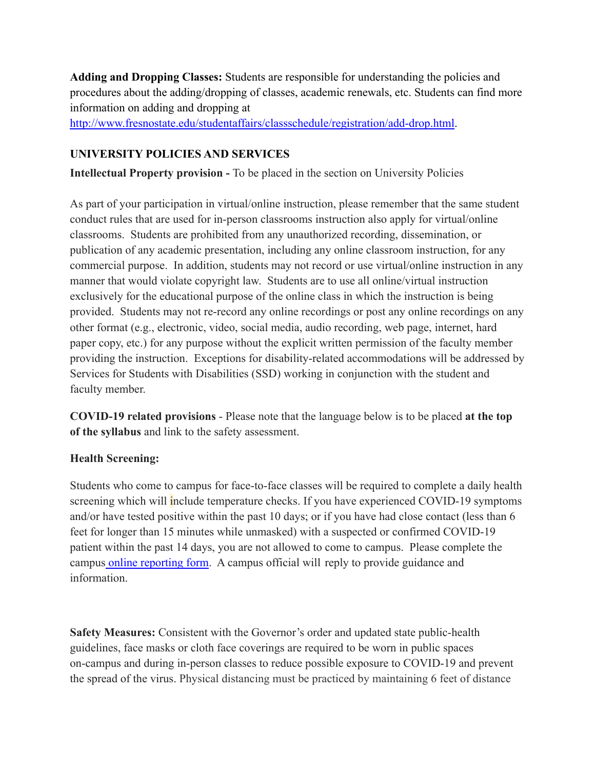**Adding and Dropping Classes:** Students are responsible for understanding the policies and procedures about the adding/dropping of classes, academic renewals, etc. Students can find more information on adding and dropping at

[http://www.fresnostate.edu/studentaffairs/classschedule/registration/add-drop.html.](http://www.fresnostate.edu/studentaffairs/classschedule/registration/add-drop.html)

## **UNIVERSITY POLICIES AND SERVICES**

**Intellectual Property provision -** To be placed in the section on University Policies

As part of your participation in virtual/online instruction, please remember that the same student conduct rules that are used for in-person classrooms instruction also apply for virtual/online classrooms. Students are prohibited from any unauthorized recording, dissemination, or publication of any academic presentation, including any online classroom instruction, for any commercial purpose. In addition, students may not record or use virtual/online instruction in any manner that would violate copyright law. Students are to use all online/virtual instruction exclusively for the educational purpose of the online class in which the instruction is being provided. Students may not re-record any online recordings or post any online recordings on any other format (e.g., electronic, video, social media, audio recording, web page, internet, hard paper copy, etc.) for any purpose without the explicit written permission of the faculty member providing the instruction. Exceptions for disability-related accommodations will be addressed by Services for Students with Disabilities (SSD) working in conjunction with the student and faculty member.

**COVID-19 related provisions** - Please note that the language below is to be placed **at the top of the syllabus** and link to the safety assessment.

### **Health Screening:**

Students who come to campus for face-to-face classes will be required to complete a daily health screening which will include temperature checks. If you have experienced COVID-19 symptoms and/or have tested positive within the past 10 days; or if you have had close contact (less than 6 feet for longer than 15 minutes while unmasked) with a suspected or confirmed COVID-19 patient within the past 14 days, you are not allowed to come to campus. Please complete the campus [online reporting form.](https://fresnostate.co1.qualtrics.com/jfe/form/SV_3faIAsuC8CzuFjD?Q_FormSessionID=FS_UFJ902LXgDJbKeZ) A campus official will reply to provide guidance and information.

**Safety Measures:** Consistent with the Governor's order and updated state public-health guidelines, face masks or cloth face coverings are required to be worn in public spaces on-campus and during in-person classes to reduce possible exposure to COVID-19 and prevent the spread of the virus. Physical distancing must be practiced by maintaining 6 feet of distance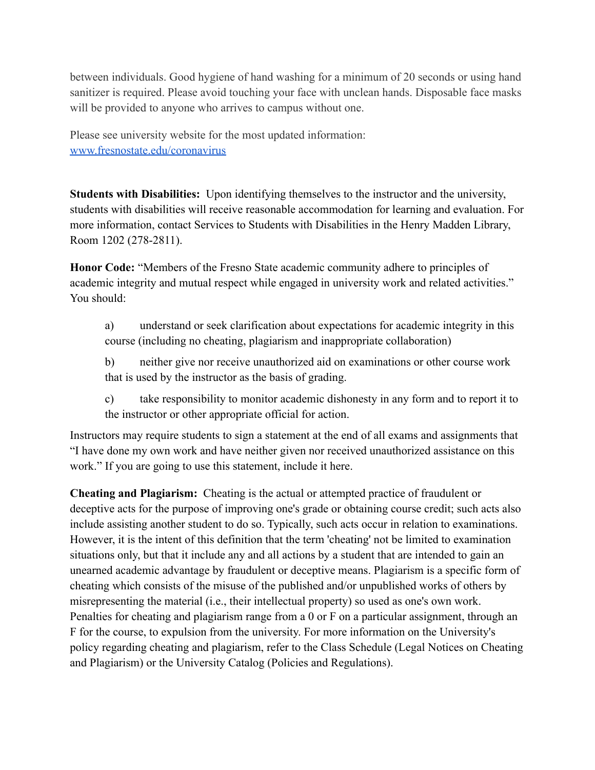between individuals. Good hygiene of hand washing for a minimum of 20 seconds or using hand sanitizer is required. Please avoid touching your face with unclean hands. Disposable face masks will be provided to anyone who arrives to campus without one.

Please see university website for the most updated information: [www.fresnostate.edu/coronavirus](http://www.fresnostate.edu/coronavirus)

**Students with Disabilities:** Upon identifying themselves to the instructor and the university, students with disabilities will receive reasonable accommodation for learning and evaluation. For more information, contact Services to Students with Disabilities in the Henry Madden Library, Room 1202 (278-2811).

**Honor Code:** "Members of the Fresno State academic community adhere to principles of academic integrity and mutual respect while engaged in university work and related activities." You should:

a) understand or seek clarification about expectations for academic integrity in this course (including no cheating, plagiarism and inappropriate collaboration)

b) neither give nor receive unauthorized aid on examinations or other course work that is used by the instructor as the basis of grading.

c) take responsibility to monitor academic dishonesty in any form and to report it to the instructor or other appropriate official for action.

Instructors may require students to sign a statement at the end of all exams and assignments that "I have done my own work and have neither given nor received unauthorized assistance on this work." If you are going to use this statement, include it here.

**Cheating and Plagiarism:** Cheating is the actual or attempted practice of fraudulent or deceptive acts for the purpose of improving one's grade or obtaining course credit; such acts also include assisting another student to do so. Typically, such acts occur in relation to examinations. However, it is the intent of this definition that the term 'cheating' not be limited to examination situations only, but that it include any and all actions by a student that are intended to gain an unearned academic advantage by fraudulent or deceptive means. Plagiarism is a specific form of cheating which consists of the misuse of the published and/or unpublished works of others by misrepresenting the material (i.e., their intellectual property) so used as one's own work. Penalties for cheating and plagiarism range from a 0 or F on a particular assignment, through an F for the course, to expulsion from the university. For more information on the University's policy regarding cheating and plagiarism, refer to the Class Schedule (Legal Notices on Cheating and Plagiarism) or the University Catalog (Policies and Regulations).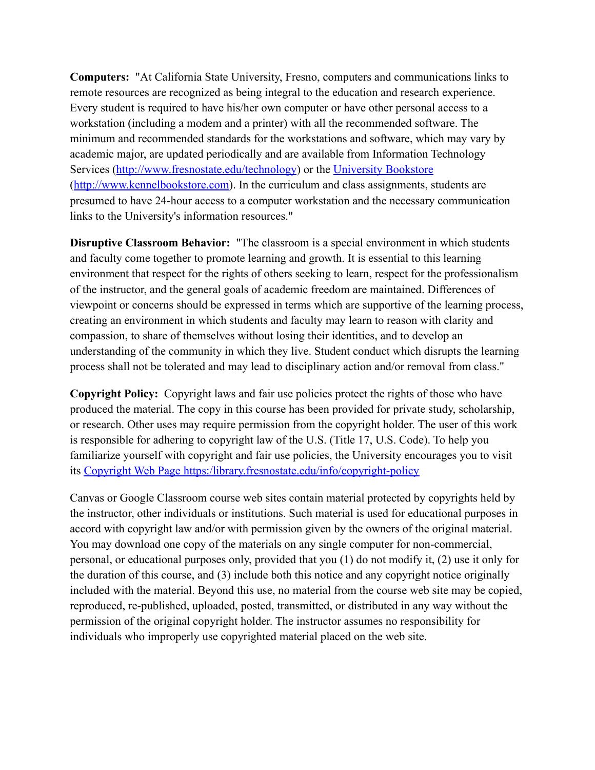**Computers:** "At California State University, Fresno, computers and communications links to remote resources are recognized as being integral to the education and research experience. Every student is required to have his/her own computer or have other personal access to a workstation (including a modem and a printer) with all the recommended software. The minimum and recommended standards for the workstations and software, which may vary by academic major, are updated periodically and are available from Information Technology Services (<http://www.fresnostate.edu/technology>) or the [University Bookstore](http://www.kennelbookstore.com/SiteText.aspx?id=20666) ([http://www.kennelbookstore.com\)](http://www.kennelbookstore.com). In the curriculum and class assignments, students are presumed to have 24-hour access to a computer workstation and the necessary communication links to the University's information resources."

**Disruptive Classroom Behavior:** "The classroom is a special environment in which students and faculty come together to promote learning and growth. It is essential to this learning environment that respect for the rights of others seeking to learn, respect for the professionalism of the instructor, and the general goals of academic freedom are maintained. Differences of viewpoint or concerns should be expressed in terms which are supportive of the learning process, creating an environment in which students and faculty may learn to reason with clarity and compassion, to share of themselves without losing their identities, and to develop an understanding of the community in which they live. Student conduct which disrupts the learning process shall not be tolerated and may lead to disciplinary action and/or removal from class."

**Copyright Policy:** Copyright laws and fair use policies protect the rights of those who have produced the material. The copy in this course has been provided for private study, scholarship, or research. Other uses may require permission from the copyright holder. The user of this work is responsible for adhering to copyright law of the U.S. (Title 17, U.S. Code). To help you familiarize yourself with copyright and fair use policies, the University encourages you to visit its [Copyright Web Page](http://libguides.csufresno.edu/copyright) [https:/library.fresnostate.edu/info/copyright-policy](https://library.fresnostate.edu/info/copyright-policy)

Canvas or Google Classroom course web sites contain material protected by copyrights held by the instructor, other individuals or institutions. Such material is used for educational purposes in accord with copyright law and/or with permission given by the owners of the original material. You may download one copy of the materials on any single computer for non-commercial, personal, or educational purposes only, provided that you (1) do not modify it, (2) use it only for the duration of this course, and (3) include both this notice and any copyright notice originally included with the material. Beyond this use, no material from the course web site may be copied, reproduced, re-published, uploaded, posted, transmitted, or distributed in any way without the permission of the original copyright holder. The instructor assumes no responsibility for individuals who improperly use copyrighted material placed on the web site.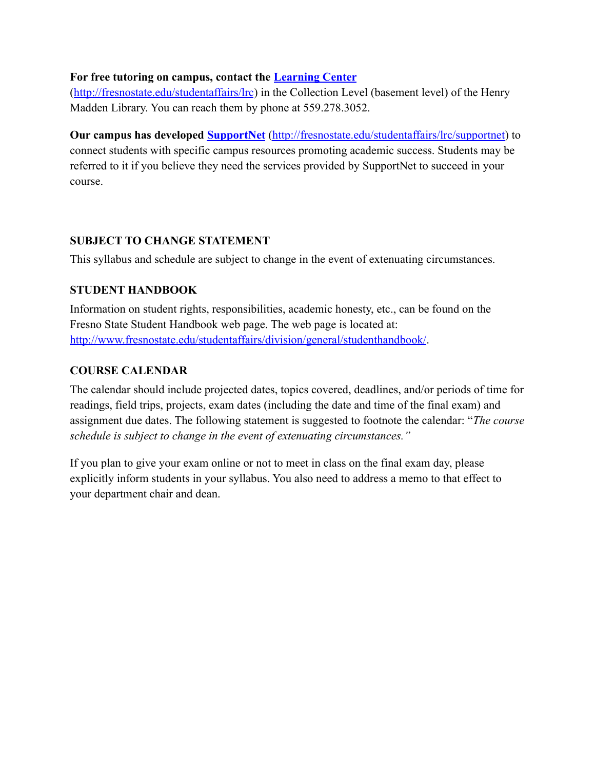### **For free tutoring on campus, contact the [Learning Center](http://www.fresnostate.edu/learningcenter)**

(<http://fresnostate.edu/studentaffairs/lrc>) in the Collection Level (basement level) of the Henry Madden Library. You can reach them by phone at 559.278.3052.

**Our campus has developed [SupportNet](http://fresnostate.edu/studentaffairs/lrc/supportnet/)** [\(http://fresnostate.edu/studentaffairs/lrc/supportnet\)](http://fresnostate.edu/studentaffairs/lrc/supportnet) to connect students with specific campus resources promoting academic success. Students may be referred to it if you believe they need the services provided by SupportNet to succeed in your course.

## **SUBJECT TO CHANGE STATEMENT**

This syllabus and schedule are subject to change in the event of extenuating circumstances.

## **STUDENT HANDBOOK**

Information on student rights, responsibilities, academic honesty, etc., can be found on the Fresno State Student Handbook web page. The web page is located at: [http://www.fresnostate.edu/studentaffairs/division/general/studenthandbook/.](http://www.fresnostate.edu/studentaffairs/division/general/studenthandbook/)

## **COURSE CALENDAR**

The calendar should include projected dates, topics covered, deadlines, and/or periods of time for readings, field trips, projects, exam dates (including the date and time of the final exam) and assignment due dates. The following statement is suggested to footnote the calendar: "*The course schedule is subject to change in the event of extenuating circumstances."*

If you plan to give your exam online or not to meet in class on the final exam day, please explicitly inform students in your syllabus. You also need to address a memo to that effect to your department chair and dean.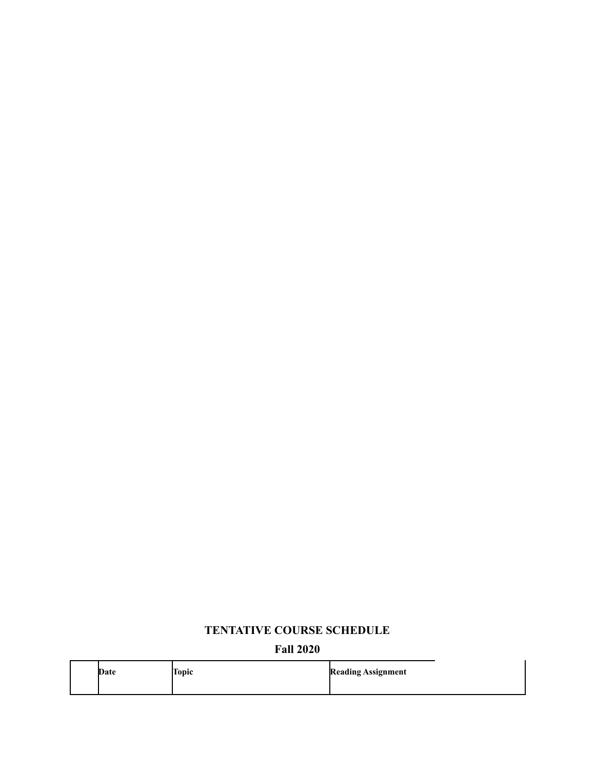#### **TENTATIVE COURSE SCHEDULE**

### **Fall 2020**

| Date | <b>Topic</b> | <b>Reading Assignment</b> |  |
|------|--------------|---------------------------|--|
|      |              |                           |  |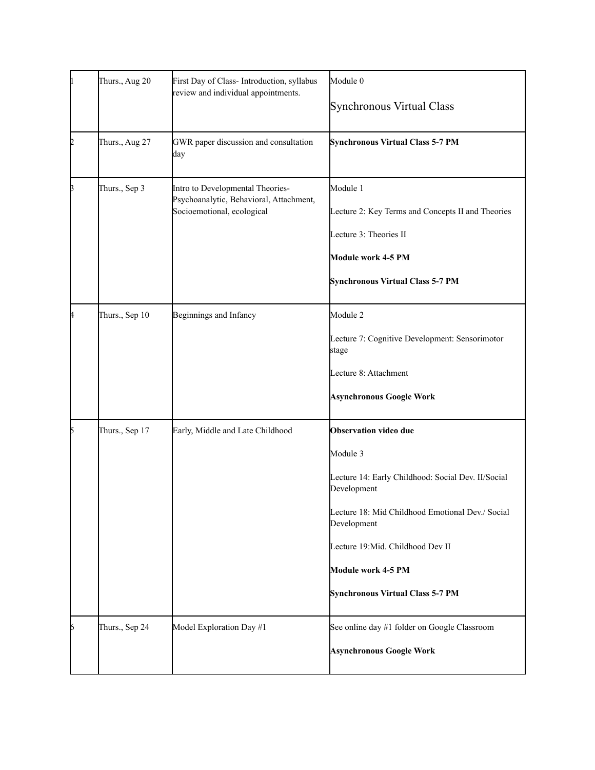|   | Thurs., Aug 20 | First Day of Class- Introduction, syllabus<br>review and individual appointments.                         | Module 0<br>Synchronous Virtual Class                                                                                                                                                                                                                                                  |
|---|----------------|-----------------------------------------------------------------------------------------------------------|----------------------------------------------------------------------------------------------------------------------------------------------------------------------------------------------------------------------------------------------------------------------------------------|
| þ | Thurs., Aug 27 | GWR paper discussion and consultation<br>day                                                              | <b>Synchronous Virtual Class 5-7 PM</b>                                                                                                                                                                                                                                                |
| B | Thurs., Sep 3  | Intro to Developmental Theories-<br>Psychoanalytic, Behavioral, Attachment,<br>Socioemotional, ecological | Module 1<br>Lecture 2: Key Terms and Concepts II and Theories<br>Lecture 3: Theories II<br>Module work 4-5 PM<br><b>Synchronous Virtual Class 5-7 PM</b>                                                                                                                               |
| 4 | Thurs., Sep 10 | Beginnings and Infancy                                                                                    | Module 2<br>Lecture 7: Cognitive Development: Sensorimotor<br>stage<br>Lecture 8: Attachment<br><b>Asynchronous Google Work</b>                                                                                                                                                        |
| 5 | Thurs., Sep 17 | Early, Middle and Late Childhood                                                                          | <b>Observation video due</b><br>Module 3<br>Lecture 14: Early Childhood: Social Dev. II/Social<br>Development<br>Lecture 18: Mid Childhood Emotional Dev./ Social<br>Development<br>Lecture 19: Mid. Childhood Dev II<br>Module work 4-5 PM<br><b>Synchronous Virtual Class 5-7 PM</b> |
| 6 | Thurs., Sep 24 | Model Exploration Day #1                                                                                  | See online day #1 folder on Google Classroom<br><b>Asynchronous Google Work</b>                                                                                                                                                                                                        |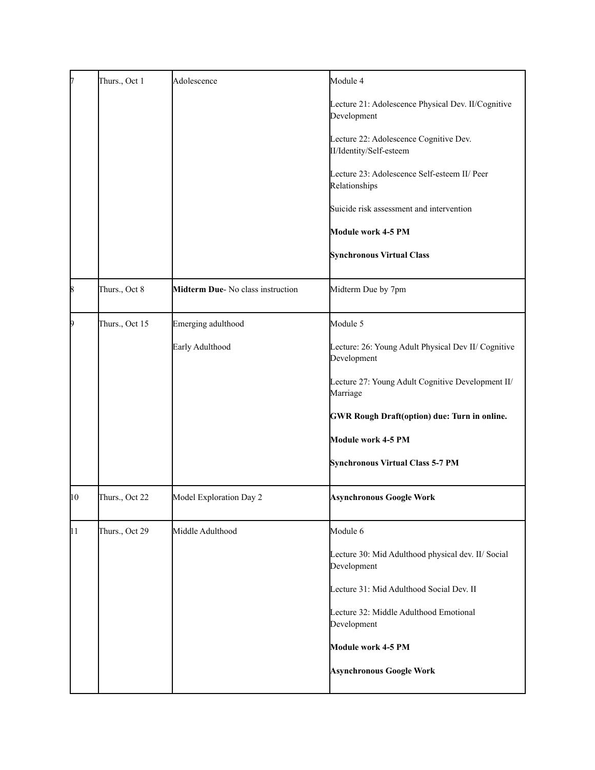| 7  | Thurs., Oct 1  | Adolescence                       | Module 4                                                           |
|----|----------------|-----------------------------------|--------------------------------------------------------------------|
|    |                |                                   | Lecture 21: Adolescence Physical Dev. II/Cognitive<br>Development  |
|    |                |                                   | Lecture 22: Adolescence Cognitive Dev.<br>II/Identity/Self-esteem  |
|    |                |                                   | Lecture 23: Adolescence Self-esteem II/ Peer<br>Relationships      |
|    |                |                                   | Suicide risk assessment and intervention                           |
|    |                |                                   | Module work 4-5 PM                                                 |
|    |                |                                   | <b>Synchronous Virtual Class</b>                                   |
| 8  | Thurs., Oct 8  | Midterm Due- No class instruction | Midterm Due by 7pm                                                 |
| þ  | Thurs., Oct 15 | Emerging adulthood                | Module 5                                                           |
|    |                | Early Adulthood                   | Lecture: 26: Young Adult Physical Dev II/ Cognitive<br>Development |
|    |                |                                   | Lecture 27: Young Adult Cognitive Development II/<br>Marriage      |
|    |                |                                   | <b>GWR Rough Draft(option) due: Turn in online.</b>                |
|    |                |                                   | Module work 4-5 PM                                                 |
|    |                |                                   | Synchronous Virtual Class 5-7 PM                                   |
| 10 | Thurs., Oct 22 | Model Exploration Day 2           | <b>Asynchronous Google Work</b>                                    |
| 11 | Thurs., Oct 29 | Middle Adulthood                  | Module 6                                                           |
|    |                |                                   | Lecture 30: Mid Adulthood physical dev. II/ Social<br>Development  |
|    |                |                                   | Lecture 31: Mid Adulthood Social Dev. II                           |
|    |                |                                   | Lecture 32: Middle Adulthood Emotional<br>Development              |
|    |                |                                   | Module work 4-5 PM                                                 |
|    |                |                                   | <b>Asynchronous Google Work</b>                                    |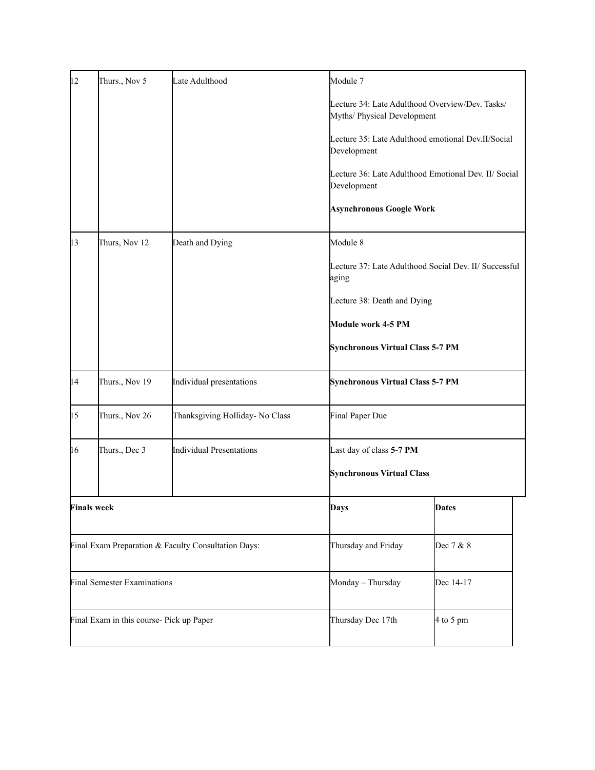| 12                                                  | Thurs., Nov 5      | Late Adulthood                  | Module 7                                                                       |              |  |
|-----------------------------------------------------|--------------------|---------------------------------|--------------------------------------------------------------------------------|--------------|--|
|                                                     |                    |                                 | Lecture 34: Late Adulthood Overview/Dev. Tasks/<br>Myths/ Physical Development |              |  |
|                                                     |                    |                                 | Lecture 35: Late Adulthood emotional Dev.II/Social<br>Development              |              |  |
|                                                     |                    |                                 | Lecture 36: Late Adulthood Emotional Dev. II/ Social<br>Development            |              |  |
|                                                     |                    |                                 | <b>Asynchronous Google Work</b>                                                |              |  |
| 13                                                  | Thurs, Nov 12      | Death and Dying                 | Module 8                                                                       |              |  |
|                                                     |                    |                                 | Lecture 37: Late Adulthood Social Dev. II/ Successful<br>aging                 |              |  |
|                                                     |                    |                                 | Lecture 38: Death and Dying                                                    |              |  |
|                                                     |                    |                                 | Module work 4-5 PM                                                             |              |  |
|                                                     |                    |                                 | <b>Synchronous Virtual Class 5-7 PM</b>                                        |              |  |
| 14                                                  | Thurs., Nov 19     | Individual presentations        | Synchronous Virtual Class 5-7 PM                                               |              |  |
| 15                                                  | Thurs., Nov 26     | Thanksgiving Holliday- No Class | Final Paper Due                                                                |              |  |
| 16                                                  | Thurs., Dec 3      | <b>Individual Presentations</b> | Last day of class 5-7 PM                                                       |              |  |
|                                                     |                    |                                 | <b>Synchronous Virtual Class</b>                                               |              |  |
|                                                     | <b>Finals week</b> |                                 | Days                                                                           | <b>Dates</b> |  |
| Final Exam Preparation & Faculty Consultation Days: |                    | Thursday and Friday             | Dec 7 & 8                                                                      |              |  |
| <b>Final Semester Examinations</b>                  |                    | Monday - Thursday               | Dec 14-17                                                                      |              |  |
| Final Exam in this course- Pick up Paper            |                    | Thursday Dec 17th               | $4$ to 5 pm                                                                    |              |  |
|                                                     |                    |                                 |                                                                                |              |  |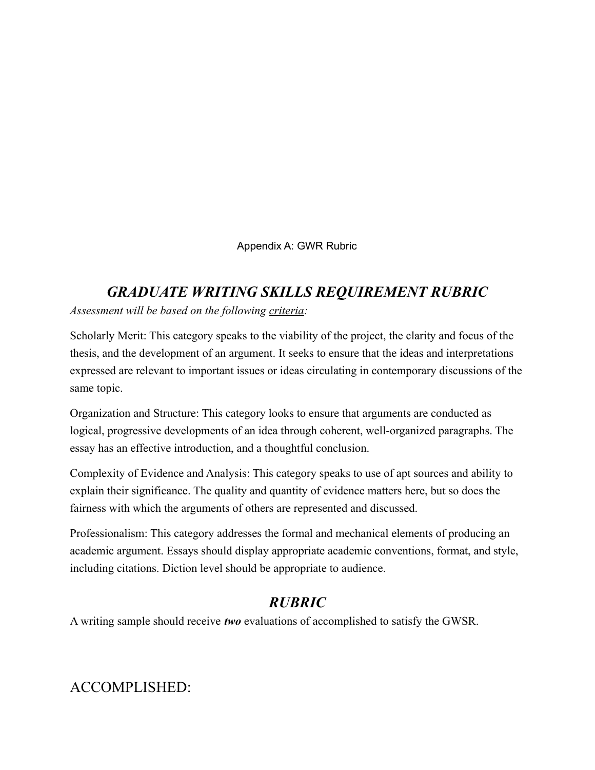Appendix A: GWR Rubric

# *GRADUATE WRITING SKILLS REQUIREMENT RUBRIC*

*Assessment will be based on the following criteria:*

Scholarly Merit: This category speaks to the viability of the project, the clarity and focus of the thesis, and the development of an argument. It seeks to ensure that the ideas and interpretations expressed are relevant to important issues or ideas circulating in contemporary discussions of the same topic.

Organization and Structure: This category looks to ensure that arguments are conducted as logical, progressive developments of an idea through coherent, well-organized paragraphs. The essay has an effective introduction, and a thoughtful conclusion.

Complexity of Evidence and Analysis: This category speaks to use of apt sources and ability to explain their significance. The quality and quantity of evidence matters here, but so does the fairness with which the arguments of others are represented and discussed.

Professionalism: This category addresses the formal and mechanical elements of producing an academic argument. Essays should display appropriate academic conventions, format, and style, including citations. Diction level should be appropriate to audience.

# *RUBRIC*

A writing sample should receive *two* evaluations of accomplished to satisfy the GWSR.

# ACCOMPLISHED: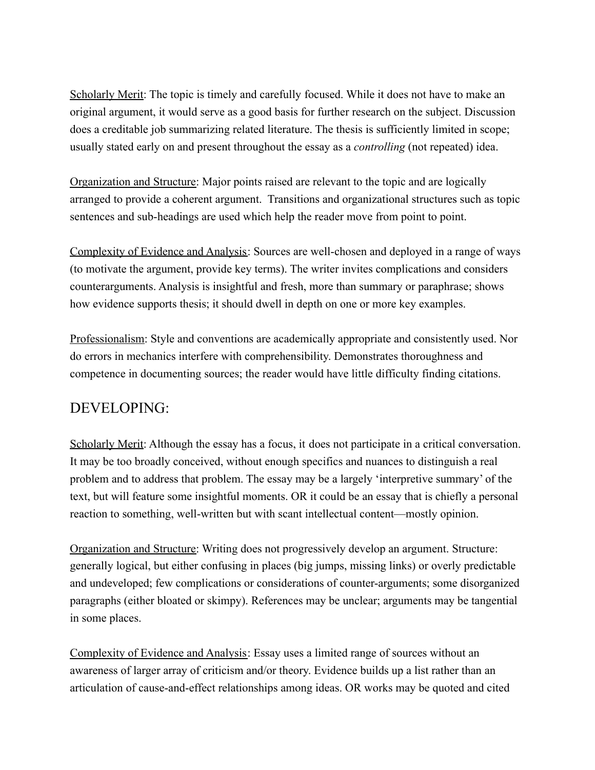Scholarly Merit: The topic is timely and carefully focused. While it does not have to make an original argument, it would serve as a good basis for further research on the subject. Discussion does a creditable job summarizing related literature. The thesis is sufficiently limited in scope; usually stated early on and present throughout the essay as a *controlling* (not repeated) idea.

Organization and Structure: Major points raised are relevant to the topic and are logically arranged to provide a coherent argument. Transitions and organizational structures such as topic sentences and sub-headings are used which help the reader move from point to point.

Complexity of Evidence and Analysis: Sources are well-chosen and deployed in a range of ways (to motivate the argument, provide key terms). The writer invites complications and considers counterarguments. Analysis is insightful and fresh, more than summary or paraphrase; shows how evidence supports thesis; it should dwell in depth on one or more key examples.

Professionalism: Style and conventions are academically appropriate and consistently used. Nor do errors in mechanics interfere with comprehensibility. Demonstrates thoroughness and competence in documenting sources; the reader would have little difficulty finding citations.

# DEVELOPING:

Scholarly Merit: Although the essay has a focus, it does not participate in a critical conversation. It may be too broadly conceived, without enough specifics and nuances to distinguish a real problem and to address that problem. The essay may be a largely 'interpretive summary' of the text, but will feature some insightful moments. OR it could be an essay that is chiefly a personal reaction to something, well-written but with scant intellectual content—mostly opinion.

Organization and Structure: Writing does not progressively develop an argument. Structure: generally logical, but either confusing in places (big jumps, missing links) or overly predictable and undeveloped; few complications or considerations of counter-arguments; some disorganized paragraphs (either bloated or skimpy). References may be unclear; arguments may be tangential in some places.

Complexity of Evidence and Analysis: Essay uses a limited range of sources without an awareness of larger array of criticism and/or theory. Evidence builds up a list rather than an articulation of cause-and-effect relationships among ideas. OR works may be quoted and cited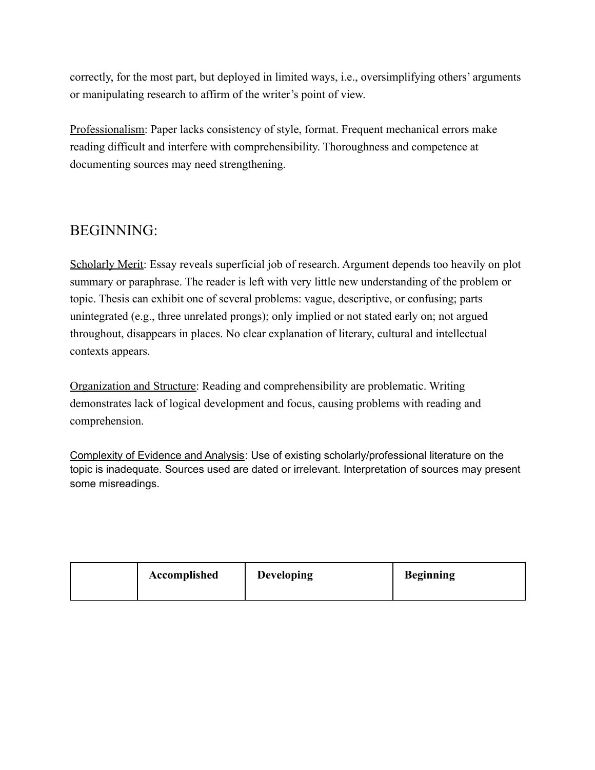correctly, for the most part, but deployed in limited ways, i.e., oversimplifying others' arguments or manipulating research to affirm of the writer's point of view.

Professionalism: Paper lacks consistency of style, format. Frequent mechanical errors make reading difficult and interfere with comprehensibility. Thoroughness and competence at documenting sources may need strengthening.

# BEGINNING:

Scholarly Merit: Essay reveals superficial job of research. Argument depends too heavily on plot summary or paraphrase. The reader is left with very little new understanding of the problem or topic. Thesis can exhibit one of several problems: vague, descriptive, or confusing; parts unintegrated (e.g., three unrelated prongs); only implied or not stated early on; not argued throughout, disappears in places. No clear explanation of literary, cultural and intellectual contexts appears.

Organization and Structure: Reading and comprehensibility are problematic. Writing demonstrates lack of logical development and focus, causing problems with reading and comprehension.

Complexity of Evidence and Analysis: Use of existing scholarly/professional literature on the topic is inadequate. Sources used are dated or irrelevant. Interpretation of sources may present some misreadings.

| Accomplished | <b>Developing</b> | <b>Beginning</b> |
|--------------|-------------------|------------------|
|              |                   |                  |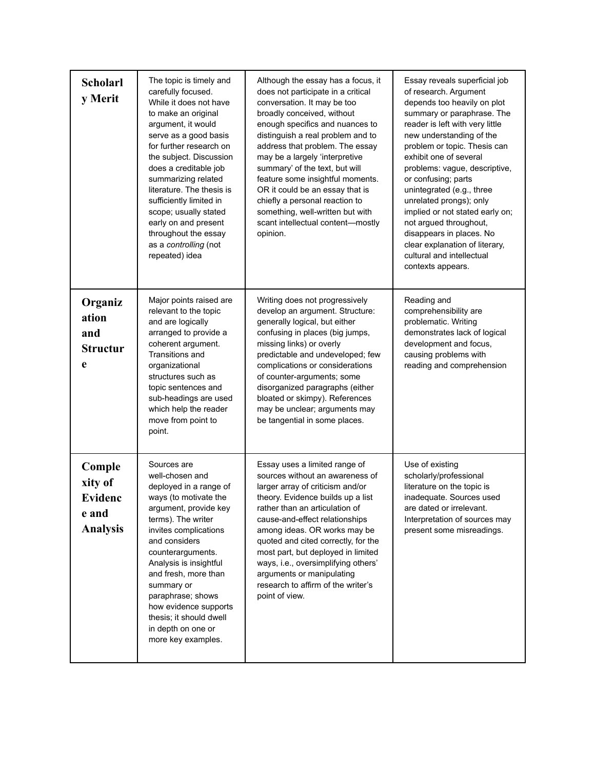| <b>Scholarl</b><br>y Merit                                      | The topic is timely and<br>carefully focused.<br>While it does not have<br>to make an original<br>argument, it would<br>serve as a good basis<br>for further research on<br>the subject. Discussion<br>does a creditable job<br>summarizing related<br>literature. The thesis is<br>sufficiently limited in<br>scope; usually stated<br>early on and present<br>throughout the essay<br>as a controlling (not<br>repeated) idea | Although the essay has a focus, it<br>does not participate in a critical<br>conversation. It may be too<br>broadly conceived, without<br>enough specifics and nuances to<br>distinguish a real problem and to<br>address that problem. The essay<br>may be a largely 'interpretive<br>summary' of the text, but will<br>feature some insightful moments.<br>OR it could be an essay that is<br>chiefly a personal reaction to<br>something, well-written but with<br>scant intellectual content-mostly<br>opinion. | Essay reveals superficial job<br>of research. Argument<br>depends too heavily on plot<br>summary or paraphrase. The<br>reader is left with very little<br>new understanding of the<br>problem or topic. Thesis can<br>exhibit one of several<br>problems: vague, descriptive,<br>or confusing; parts<br>unintegrated (e.g., three<br>unrelated prongs); only<br>implied or not stated early on;<br>not argued throughout,<br>disappears in places. No<br>clear explanation of literary,<br>cultural and intellectual<br>contexts appears. |
|-----------------------------------------------------------------|---------------------------------------------------------------------------------------------------------------------------------------------------------------------------------------------------------------------------------------------------------------------------------------------------------------------------------------------------------------------------------------------------------------------------------|--------------------------------------------------------------------------------------------------------------------------------------------------------------------------------------------------------------------------------------------------------------------------------------------------------------------------------------------------------------------------------------------------------------------------------------------------------------------------------------------------------------------|-------------------------------------------------------------------------------------------------------------------------------------------------------------------------------------------------------------------------------------------------------------------------------------------------------------------------------------------------------------------------------------------------------------------------------------------------------------------------------------------------------------------------------------------|
| Organiz<br>ation<br>and<br><b>Structur</b><br>e                 | Major points raised are<br>relevant to the topic<br>and are logically<br>arranged to provide a<br>coherent argument.<br>Transitions and<br>organizational<br>structures such as<br>topic sentences and<br>sub-headings are used<br>which help the reader<br>move from point to<br>point.                                                                                                                                        | Writing does not progressively<br>develop an argument. Structure:<br>generally logical, but either<br>confusing in places (big jumps,<br>missing links) or overly<br>predictable and undeveloped; few<br>complications or considerations<br>of counter-arguments; some<br>disorganized paragraphs (either<br>bloated or skimpy). References<br>may be unclear; arguments may<br>be tangential in some places.                                                                                                      | Reading and<br>comprehensibility are<br>problematic. Writing<br>demonstrates lack of logical<br>development and focus,<br>causing problems with<br>reading and comprehension                                                                                                                                                                                                                                                                                                                                                              |
| Comple<br>xity of<br><b>Evidenc</b><br>e and<br><b>Analysis</b> | Sources are<br>well-chosen and<br>deployed in a range of<br>ways (to motivate the<br>argument, provide key<br>terms). The writer<br>invites complications<br>and considers<br>counterarguments.<br>Analysis is insightful<br>and fresh, more than<br>summary or<br>paraphrase; shows<br>how evidence supports<br>thesis; it should dwell<br>in depth on one or<br>more key examples.                                            | Essay uses a limited range of<br>sources without an awareness of<br>larger array of criticism and/or<br>theory. Evidence builds up a list<br>rather than an articulation of<br>cause-and-effect relationships<br>among ideas. OR works may be<br>quoted and cited correctly, for the<br>most part, but deployed in limited<br>ways, i.e., oversimplifying others'<br>arguments or manipulating<br>research to affirm of the writer's<br>point of view.                                                             | Use of existing<br>scholarly/professional<br>literature on the topic is<br>inadequate. Sources used<br>are dated or irrelevant.<br>Interpretation of sources may<br>present some misreadings.                                                                                                                                                                                                                                                                                                                                             |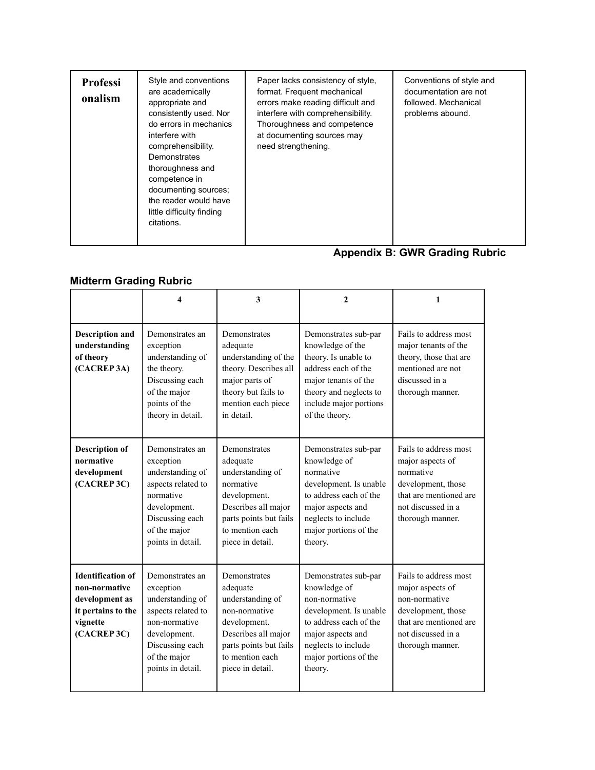| <b>Professi</b><br>onalism | Style and conventions<br>are academically<br>appropriate and<br>consistently used. Nor<br>do errors in mechanics<br>interfere with<br>comprehensibility.<br>Demonstrates<br>thoroughness and<br>competence in<br>documenting sources;<br>the reader would have<br>little difficulty finding<br>citations. | Paper lacks consistency of style,<br>format. Frequent mechanical<br>errors make reading difficult and<br>interfere with comprehensibility.<br>Thoroughness and competence<br>at documenting sources may<br>need strengthening. | Conventions of style and<br>documentation are not<br>followed. Mechanical<br>problems abound. |
|----------------------------|-----------------------------------------------------------------------------------------------------------------------------------------------------------------------------------------------------------------------------------------------------------------------------------------------------------|--------------------------------------------------------------------------------------------------------------------------------------------------------------------------------------------------------------------------------|-----------------------------------------------------------------------------------------------|
|----------------------------|-----------------------------------------------------------------------------------------------------------------------------------------------------------------------------------------------------------------------------------------------------------------------------------------------------------|--------------------------------------------------------------------------------------------------------------------------------------------------------------------------------------------------------------------------------|-----------------------------------------------------------------------------------------------|

## **Appendix B: GWR Grading Rubric**

# **Midterm Grading Rubric**

|                                                                                                              | 4                                                                                                                                                               | 3                                                                                                                                                                     | $\mathbf{c}$                                                                                                                                                                              |                                                                                                                                                      |
|--------------------------------------------------------------------------------------------------------------|-----------------------------------------------------------------------------------------------------------------------------------------------------------------|-----------------------------------------------------------------------------------------------------------------------------------------------------------------------|-------------------------------------------------------------------------------------------------------------------------------------------------------------------------------------------|------------------------------------------------------------------------------------------------------------------------------------------------------|
| <b>Description and</b><br>understanding<br>of theory<br>(CACREP 3A)                                          | Demonstrates an<br>exception<br>understanding of<br>the theory.<br>Discussing each<br>of the major<br>points of the<br>theory in detail.                        | Demonstrates<br>adequate<br>understanding of the<br>theory. Describes all<br>major parts of<br>theory but fails to<br>mention each piece<br>in detail.                | Demonstrates sub-par<br>knowledge of the<br>theory. Is unable to<br>address each of the<br>major tenants of the<br>theory and neglects to<br>include major portions<br>of the theory.     | Fails to address most<br>major tenants of the<br>theory, those that are<br>mentioned are not<br>discussed in a<br>thorough manner.                   |
| <b>Description of</b><br>normative<br>development<br>(CACREP 3C)                                             | Demonstrates an<br>exception<br>understanding of<br>aspects related to<br>normative<br>development.<br>Discussing each<br>of the major<br>points in detail.     | Demonstrates<br>adequate<br>understanding of<br>normative<br>development.<br>Describes all major<br>parts points but fails<br>to mention each<br>piece in detail.     | Demonstrates sub-par<br>knowledge of<br>normative<br>development. Is unable<br>to address each of the<br>major aspects and<br>neglects to include<br>major portions of the<br>theory.     | Fails to address most<br>major aspects of<br>normative<br>development, those<br>that are mentioned are<br>not discussed in a<br>thorough manner.     |
| <b>Identification of</b><br>non-normative<br>development as<br>it pertains to the<br>vignette<br>(CACREP 3C) | Demonstrates an<br>exception<br>understanding of<br>aspects related to<br>non-normative<br>development.<br>Discussing each<br>of the major<br>points in detail. | Demonstrates<br>adequate<br>understanding of<br>non-normative<br>development.<br>Describes all major<br>parts points but fails<br>to mention each<br>piece in detail. | Demonstrates sub-par<br>knowledge of<br>non-normative<br>development. Is unable<br>to address each of the<br>major aspects and<br>neglects to include<br>major portions of the<br>theory. | Fails to address most<br>major aspects of<br>non-normative<br>development, those<br>that are mentioned are<br>not discussed in a<br>thorough manner. |